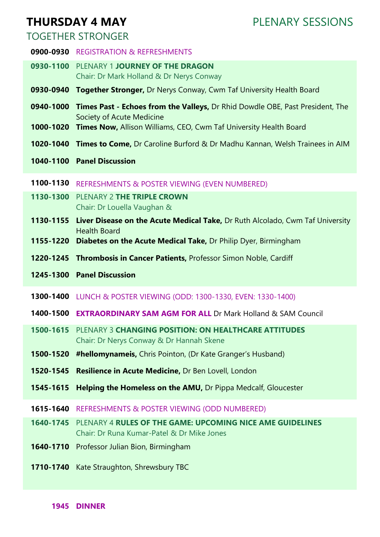# **THURSDAY 4 MAY**

PLENARY SESSIONS

## TOGETHER STRONGER

- **0900-0930** REGISTRATION & REFRESHMENTS
- **0930-1100** PLENARY 1 **JOURNEY OF THE DRAGON**  Chair: Dr Mark Holland & Dr Nerys Conway
- **0930-0940 Together Stronger,** Dr Nerys Conway, Cwm Taf University Health Board
- **0940-1000 Times Past - Echoes from the Valleys,** Dr Rhid Dowdle OBE, Past President, The Society of Acute Medicine
- **1000-1020 Times Now,** Allison Williams, CEO, Cwm Taf University Health Board
- **1020-1040 Times to Come,** Dr Caroline Burford & Dr Madhu Kannan, Welsh Trainees in AIM
- **1040-1100 Panel Discussion**
- **1100-1130** REFRESHMENTS & POSTER VIEWING (EVEN NUMBERED)
- **1130-1300** PLENARY 2 **THE TRIPLE CROWN** Chair: Dr Louella Vaughan &
- 1130-1155 Liver Disease on the Acute Medical Take, Dr Ruth Alcolado, Cwm Taf University Health Board
- **1155-1220 Diabetes on the Acute Medical Take,** Dr Philip Dyer, Birmingham
- **1220-1245 Thrombosis in Cancer Patients,** Professor Simon Noble, Cardiff
- **1245-1300 Panel Discussion**
- **1300-1400** LUNCH & POSTER VIEWING (ODD: 1300-1330, EVEN: 1330-1400)
- **1400-1500 EXTRAORDINARY SAM AGM FOR ALL** Dr Mark Holland & SAM Council
- **1500-1615** PLENARY 3 **CHANGING POSITION: ON HEALTHCARE ATTITUDES**  Chair: Dr Nerys Conway & Dr Hannah Skene
- **1500-1520 #hellomynameis,** Chris Pointon, (Dr Kate Granger's Husband)
- **1520-1545 Resilience in Acute Medicine,** Dr Ben Lovell, London
- **1545-1615 Helping the Homeless on the AMU,** Dr Pippa Medcalf, Gloucester
- **1615-1640** REFRESHMENTS & POSTER VIEWING (ODD NUMBERED)
- **1640-1745** PLENARY 4 **RULES OF THE GAME: UPCOMING NICE AME GUIDELINES** Chair: Dr Runa Kumar-Patel & Dr Mike Jones
- **1640-1710** Professor Julian Bion, Birmingham
- **1710-1740** Kate Straughton, Shrewsbury TBC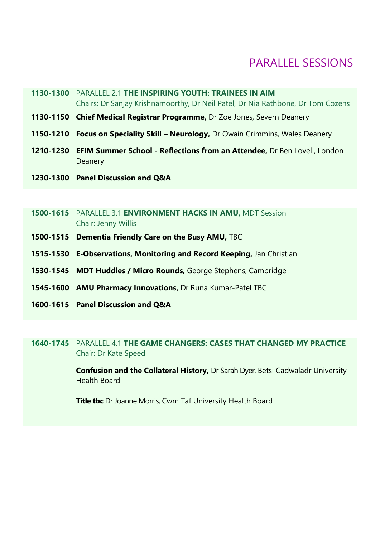## PARALLEL SESSIONS

- **1130-1300** PARALLEL 2.1 **THE INSPIRING YOUTH: TRAINEES IN AIM** Chairs: Dr Sanjay Krishnamoorthy, Dr Neil Patel, Dr Nia Rathbone, Dr Tom Cozens
- **1130-1150 Chief Medical Registrar Programme,** Dr Zoe Jones, Severn Deanery
- 1150-1210 Focus on Speciality Skill Neurology, Dr Owain Crimmins, Wales Deanery
- **1210-1230 EFIM Summer School - Reflections from an Attendee,** Dr Ben Lovell, London **Deanery**
- **1230-1300 Panel Discussion and Q&A**
- **1500-1615** PARALLEL 3.1 **ENVIRONMENT HACKS IN AMU,** MDT Session Chair: Jenny Willis
- **1500-1515 Dementia Friendly Care on the Busy AMU,** TBC
- **1515-1530 E-Observations, Monitoring and Record Keeping,** Jan Christian
- **1530-1545 MDT Huddles / Micro Rounds,** George Stephens, Cambridge
- **1545-1600 AMU Pharmacy Innovations,** Dr Runa Kumar-Patel TBC
- **1600-1615 Panel Discussion and Q&A**

### **1640-1745** PARALLEL 4.1 **THE GAME CHANGERS: CASES THAT CHANGED MY PRACTICE**  Chair: Dr Kate Speed

**Confusion and the Collateral History,** Dr Sarah Dyer, Betsi Cadwaladr University Health Board

**Title tbc** Dr Joanne Morris, Cwm Taf University Health Board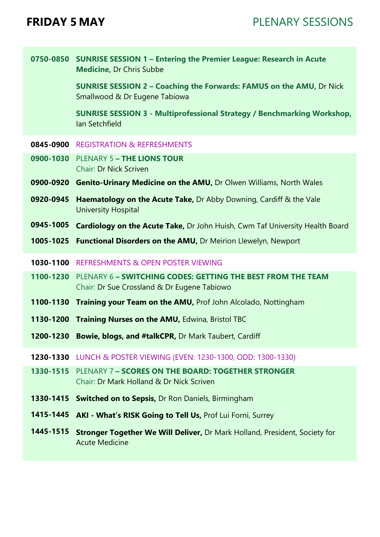**0750-0850 SUNRISE SESSION 1 – Entering the Premier League: Research in Acute Medicine,** Dr Chris Subbe

> **SUNRISE SESSION 2 – Coaching the Forwards: FAMUS on the AMU,** Dr Nick Smallwood & Dr Eugene Tabiowa

**SUNRISE SESSION 3 - Multiprofessional Strategy / Benchmarking Workshop,** Ian Setchfield

- **0845-0900** REGISTRATION & REFRESHMENTS
- **0900-1030** PLENARY 5 **– THE LIONS TOUR** Chair: Dr Nick Scriven
- **0900-0920 Genito-Urinary Medicine on the AMU,** Dr Olwen Williams, North Wales
- **0920-0945 Haematology on the Acute Take,** Dr Abby Downing, Cardiff & the Vale University Hospital
- **0945-1005 Cardiology on the Acute Take,** Dr John Huish, Cwm Taf University Health Board
- **1005-1025 Functional Disorders on the AMU,** Dr Meirion Llewelyn, Newport
- **1030-1100** REFRESHMENTS & OPEN POSTER VIEWING
- **1100-1230** PLENARY 6 **– SWITCHING CODES: GETTING THE BEST FROM THE TEAM** Chair: Dr Sue Crossland & Dr Eugene Tabiowo
- **1100-1130 Training your Team on the AMU,** Prof John Alcolado, Nottingham
- **1130-1200 Training Nurses on the AMU,** Edwina, Bristol TBC
- **1200-1230 Bowie, blogs, and #talkCPR,** Dr Mark Taubert, Cardiff
- **1230-1330** LUNCH & POSTER VIEWING (EVEN: 1230-1300, ODD: 1300-1330)
- **1330-1515** PLENARY 7 **– SCORES ON THE BOARD: TOGETHER STRONGER** Chair: Dr Mark Holland & Dr Nick Scriven
- **1330-1415 Switched on to Sepsis,** Dr Ron Daniels, Birmingham
- **1415-1445 AKI - What's RISK Going to Tell Us,** Prof Lui Forni, Surrey
- 1445-1515 Stronger Together We Will Deliver, Dr Mark Holland, President, Society for Acute Medicine